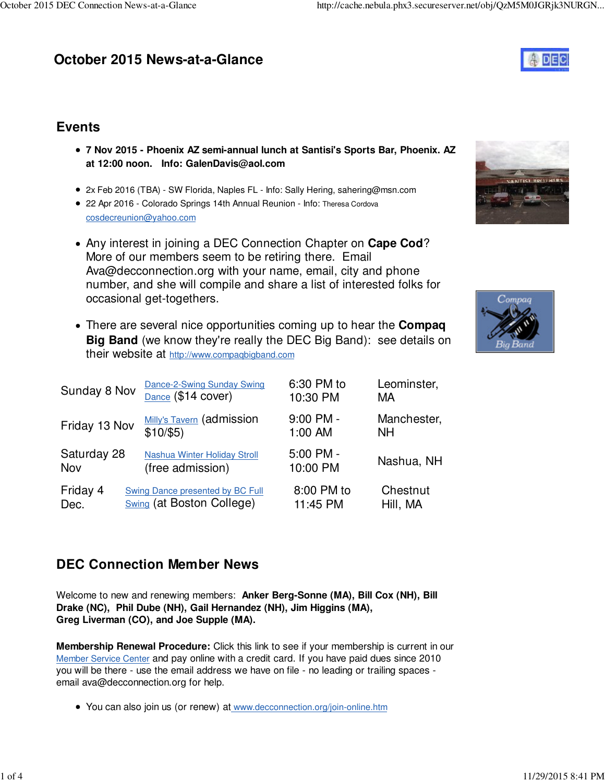# **October 2015 News-at-a-Glance**



## **Events**

- **7 Nov 2015 Phoenix AZ semi-annual lunch at Santisi's Sports Bar, Phoenix. AZ at 12:00 noon. Info: [GalenDavis@aol.com](mailto:GalenDavis@aol.com)**
- 2x Feb 2016 (TBA) SW Florida, Naples FL Info: Sally Hering, [sahering@msn.com](mailto:sahering@msn.com)
- 22 Apr 2016 Colorado Springs 14th Annual Reunion Info: Theresa Cordova [cosdecreunion@yahoo.com](mailto:cosdecreunion@yahoo.com)
- Any interest in joining a DEC Connection Chapter on **Cape Cod**? More of our members seem to be retiring there. Email [Ava@decconnection.org w](mailto:Ava@decconnection.org)ith your name, email, city and phone number, and she will compile and share a list of interested folks for occasional get-togethers.
- There are several nice opportunities coming up to hear the **Compaq Big Band** (we know they're really the DEC Big Band): see details on their website at <http://www.compaqbigband.com>

| Sunday 8 Nov       | Dance-2-Swing Sunday Swing<br>Dance (\$14 cover)                            | 6:30 PM to<br>10:30 PM | Leominster,<br>МA        |
|--------------------|-----------------------------------------------------------------------------|------------------------|--------------------------|
| Friday 13 Nov      | <b>Milly's Tavern (admission</b><br>\$10/\$5)                               | $9:00$ PM -<br>1:00 AM | Manchester,<br><b>NH</b> |
| Saturday 28<br>Nov | Nashua Winter Holiday Stroll<br>(free admission)                            | 5:00 PM -<br>10:00 PM  | Nashua, NH               |
| Friday 4<br>Dec.   | <b>Swing Dance presented by BC Full</b><br><b>Swing (at Boston College)</b> | 8:00 PM to<br>11:45 PM | Chestnut<br>Hill, MA     |



## **DEC Connection Member News**

Welcome to new and renewing members: **Anker Berg-Sonne (MA), Bill Cox (NH), Bill Drake (NC), Phil Dube (NH), Gail Hernandez (NH), Jim Higgins (MA), Greg Liverman (CO), and Joe Supple (MA).**

**Membership Renewal Procedure:** Click this link to see if your membership is current in our Member Service Center and pay online with a credit card. If you have paid dues since 2010 you will be there - use the email address we have on file - no leading or trailing spaces email [ava@decconnection.org fo](mailto:ava@decconnection.org)r help.

You can also join us (or renew) at [www.decconnection.org/join-online.htm](http://www.decconnection.org/join-online.htm)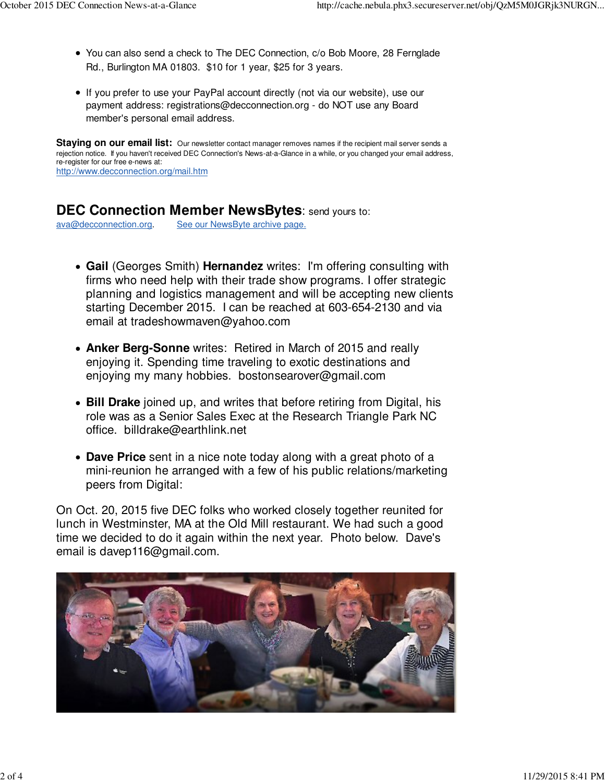- You can also send a check to The DEC Connection, c/o Bob Moore, 28 Fernglade Rd., Burlington MA 01803. \$10 for 1 year, \$25 for 3 years.
- If you prefer to use your PayPal account directly (not via our website), use our payment address: [registrations@decconnection.org - d](mailto:registrations@decconnection.org)o NOT use any Board member's personal email address.

**Staying on our email list:** Our newsletter contact manager removes names if the recipient mail server sends a rejection notice. If you haven't received DEC Connection's News-at-a-Glance in a while, or you changed your email address, re-register for our free e-news at: <http://www.decconnection.org/mail.htm>

### **DEC Connection Member NewsBytes**: send yours to:

[ava@decconnection.org](mailto:ava@decconnection.org). See our NewsByte archive page.

- **Gail** (Georges Smith) **Hernandez** writes: I'm offering consulting with firms who need help with their trade show programs. I offer strategic planning and logistics management and will be accepting new clients starting December 2015. I can be reached at 603-654-2130 and via email at [tradeshowmaven@yahoo.com](mailto:tradeshowmaven@yahoo.com)
- **Anker Berg-Sonne** writes: Retired in March of 2015 and really enjoying it. Spending time traveling to exotic destinations and enjoying my many hobbies. [bostonsearover@gmail.com](mailto:bostonsearover@gmail.com)
- **Bill Drake** joined up, and writes that before retiring from Digital, his role was as a Senior Sales Exec at the Research Triangle Park NC office. [billdrake@earthlink.net](mailto:billdrake@earthlink.net)
- **Dave Price** sent in a nice note today along with a great photo of a mini-reunion he arranged with a few of his public relations/marketing peers from Digital:

On Oct. 20, 2015 five DEC folks who worked closely together reunited for lunch in Westminster, MA at the Old Mill restaurant. We had such a good time we decided to do it again within the next year. Photo below. Dave's email is [davep116@gmail.com.](mailto:davep116@gmail.com)

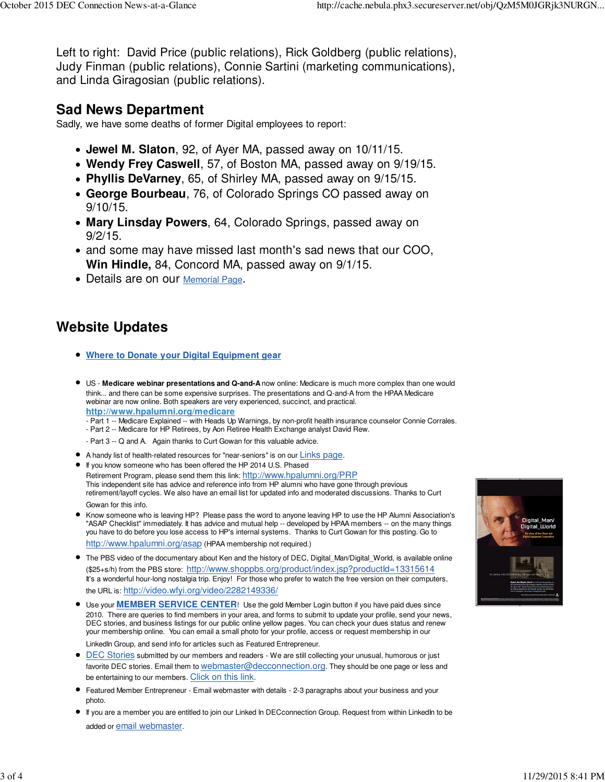Left to right: David Price (public relations), Rick Goldberg (public relations), Judy Finman (public relations), Connie Sartini (marketing communications), and Linda Giragosian (public relations).

## **Sad News Department**

Sadly, we have some deaths of former Digital employees to report:

- **Jewel M. Slaton**, 92, of Ayer MA, passed away on 10/11/15.
- **Wendy Frey Caswell**, 57, of Boston MA, passed away on 9/19/15.
- **Phyllis DeVarney**, 65, of Shirley MA, passed away on 9/15/15.
- **George Bourbeau**, 76, of Colorado Springs CO passed away on 9/10/15.
- **Mary Linsday Powers**, 64, Colorado Springs, passed away on 9/2/15.
- and some may have missed last month's sad news that our COO, **Win Hindle,** 84, Concord MA, passed away on 9/1/15.
- Details are on our Memorial Page.

## **Website Updates**

- **Where to Donate your Digital Equipment gear**
- US - **Medicare webinar presentations and Q-and-A** now online: Medicare is much more complex than one would think... and there can be some expensive surprises. The presentations and Q-and-A from the HPAA Medicare webinar are now online. Both speakers are very experienced, succinct, and practical. **<http://www.hpalumni.org/medicare>**
	- Part 1 -- Medicare Explained -- with Heads Up Warnings, by non-profit health insurance counselor Connie Corrales.
	- Part 2 -- Medicare for HP Retirees, by Aon Retiree Health Exchange analyst David Rew.
	- Part 3 -- Q and A. Again thanks to Curt Gowan for this valuable advice.
- A handy list of health-related resources for "near-seniors" is on our Links page.
- If you know someone who has been offered the HP 2014 U.S. Phased Retirement Program, please send them this link: <http://www.hpalumni.org/PRP> This independent site has advice and reference info from HP alumni who have gone through previous retirement/layoff cycles. We also have an email list for updated info and moderated discussions. Thanks to Curt Gowan for this info.
- Know someone who is leaving HP? Please pass the word to anyone leaving HP to use the HP Alumni Association's "ASAP Checklist" immediately. It has advice and mutual help -- developed by HPAA members -- on the many things you have to do before you lose access to HP's internal systems. Thanks to Curt Gowan for this posting. Go to <http://www.hpalumni.org/asap> (HPAA membership not required.)
- The PBS video of the documentary about Ken and the history of DEC, Digital\_Man/Digital\_World, is available online (\$25+s/h) from the PBS store: <http://www.shoppbs.org/product/index.jsp?productId=13315614> It's a wonderful hour-long nostalgia trip. Enjoy! For those who prefer to watch the free version on their computers, the URL is: [http://video.wfyi.org/video/2282149336/](http://video.wfyi.org/video/2282149336)
- Use your **MEMBER SERVICE CENTER**! Use the gold Member Login button if you have paid dues since 2010. There are queries to find members in your area, and forms to submit to update your profile, send your news, DEC stories, and business listings for our public online yellow pages. You can check your dues status and renew your membership online. You can email a small photo for your profile, access or request membership in our LinkedIn Group, and send info for articles such as Featured Entrepreneur.
- $\bullet$  DEC Stories submitted by our members and readers We are still collecting your unusual, humorous or just favorite DEC stories. Email them to [webmaster@decconnection.org](mailto:webmaster@decconnection.org). They should be one page or less and be entertaining to our members. Click on this link.
- Featured Member Entrepreneur Email webmaster with details 2-3 paragraphs about your business and your photo.
- If you are a member you are entitled to join our Linked In DECconnection Group. Request from within LinkedIn to be added or email webmaster.